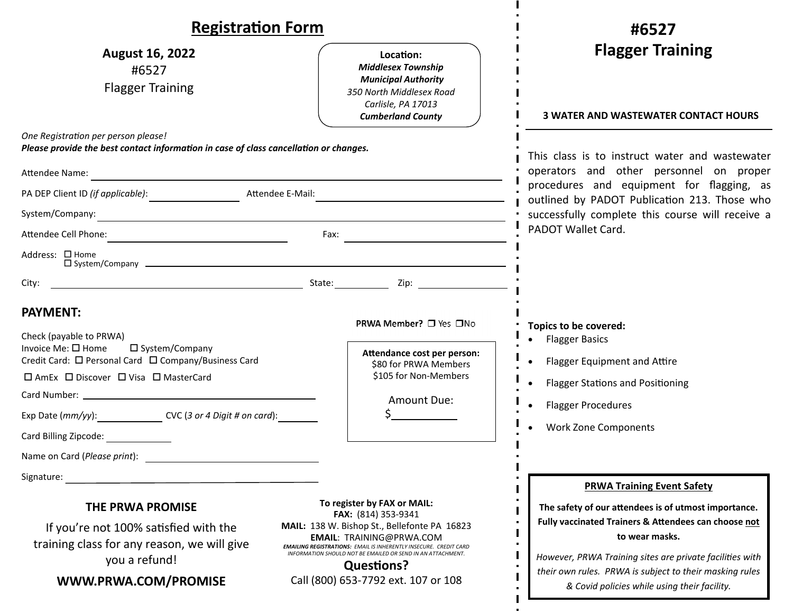| <b>Registration Form</b>                                                                                                                                                                                                                                                                                                                                        |                                                                                                                                                                                                                                                                                                                                              | #6527                                                                                                                                                                                                                                                                                                                                      |  |
|-----------------------------------------------------------------------------------------------------------------------------------------------------------------------------------------------------------------------------------------------------------------------------------------------------------------------------------------------------------------|----------------------------------------------------------------------------------------------------------------------------------------------------------------------------------------------------------------------------------------------------------------------------------------------------------------------------------------------|--------------------------------------------------------------------------------------------------------------------------------------------------------------------------------------------------------------------------------------------------------------------------------------------------------------------------------------------|--|
| <b>August 16, 2022</b><br>#6527<br><b>Flagger Training</b>                                                                                                                                                                                                                                                                                                      | Location:<br><b>Middlesex Township</b><br><b>Municipal Authority</b><br>350 North Middlesex Road<br>Carlisle, PA 17013<br><b>Cumberland County</b>                                                                                                                                                                                           | <b>Flagger Training</b><br><b>3 WATER AND WASTEWATER CONTACT HOURS</b>                                                                                                                                                                                                                                                                     |  |
| One Registration per person please!<br>Please provide the best contact information in case of class cancellation or changes.                                                                                                                                                                                                                                    |                                                                                                                                                                                                                                                                                                                                              | This class is to instruct water and wastewater<br>operators and other personnel on proper<br>procedures and equipment for flagging, as<br>outlined by PADOT Publication 213. Those who<br>successfully complete this course will receive a                                                                                                 |  |
| Attendee Name:<br><u> 1989 - Johann Barbara, martxa alemaniar argumento este alemaniar alemaniar alemaniar alemaniar alemaniar al</u>                                                                                                                                                                                                                           |                                                                                                                                                                                                                                                                                                                                              |                                                                                                                                                                                                                                                                                                                                            |  |
| PA DEP Client ID (if applicable):<br>Attendee E-Mail:                                                                                                                                                                                                                                                                                                           |                                                                                                                                                                                                                                                                                                                                              |                                                                                                                                                                                                                                                                                                                                            |  |
| System/Company:                                                                                                                                                                                                                                                                                                                                                 |                                                                                                                                                                                                                                                                                                                                              |                                                                                                                                                                                                                                                                                                                                            |  |
|                                                                                                                                                                                                                                                                                                                                                                 | Fax: $\qquad \qquad \qquad$                                                                                                                                                                                                                                                                                                                  | PADOT Wallet Card.                                                                                                                                                                                                                                                                                                                         |  |
| Address: □ Home                                                                                                                                                                                                                                                                                                                                                 |                                                                                                                                                                                                                                                                                                                                              |                                                                                                                                                                                                                                                                                                                                            |  |
| <u> 1989 - Johann Barn, mars eta bat erroman erroman erroman erroman erroman erroman erroman erroman erroman err</u>                                                                                                                                                                                                                                            | State: Zip: Zip:                                                                                                                                                                                                                                                                                                                             |                                                                                                                                                                                                                                                                                                                                            |  |
| <b>PAYMENT:</b><br>Check (payable to PRWA)<br>Invoice Me: $\square$ Home<br>$\square$ System/Company<br>Credit Card: □ Personal Card □ Company/Business Card<br>□ AmEx □ Discover □ Visa □ MasterCard<br>Exp Date (mm/yy): ____________________ CVC (3 or 4 Digit # on card): __________<br>Card Billing Zipcode:<br>Name on Card (Please print):<br>Signature: | PRWA Member? □ Yes □No<br>Attendance cost per person:<br>\$80 for PRWA Members<br>\$105 for Non-Members<br>Amount Due:                                                                                                                                                                                                                       | Topics to be covered:<br><b>Flagger Basics</b><br><b>Flagger Equipment and Attire</b><br><b>Flagger Stations and Positioning</b><br><b>Flagger Procedures</b><br><b>Work Zone Components</b>                                                                                                                                               |  |
| <b>THE PRWA PROMISE</b><br>If you're not 100% satisfied with the<br>training class for any reason, we will give<br>you a refund!<br>WWW.PRWA.COM/PROMISE                                                                                                                                                                                                        | To register by FAX or MAIL:<br>FAX: (814) 353-9341<br>MAIL: 138 W. Bishop St., Bellefonte PA 16823<br><b>EMAIL: TRAINING@PRWA.COM</b><br><b>EMAILING REGISTRATIONS: EMAIL IS INHERENTLY INSECURE. CREDIT CARD</b><br>INFORMATION SHOULD NOT BE EMAILED OR SEND IN AN ATTACHMENT.<br><b>Questions?</b><br>Call (800) 653-7792 ext. 107 or 108 | <b>PRWA Training Event Safety</b><br>The safety of our attendees is of utmost importance.<br>Fully vaccinated Trainers & Attendees can choose not<br>to wear masks.<br>However, PRWA Training sites are private facilities with<br>their own rules. PRWA is subject to their masking rules<br>& Covid policies while using their facility. |  |